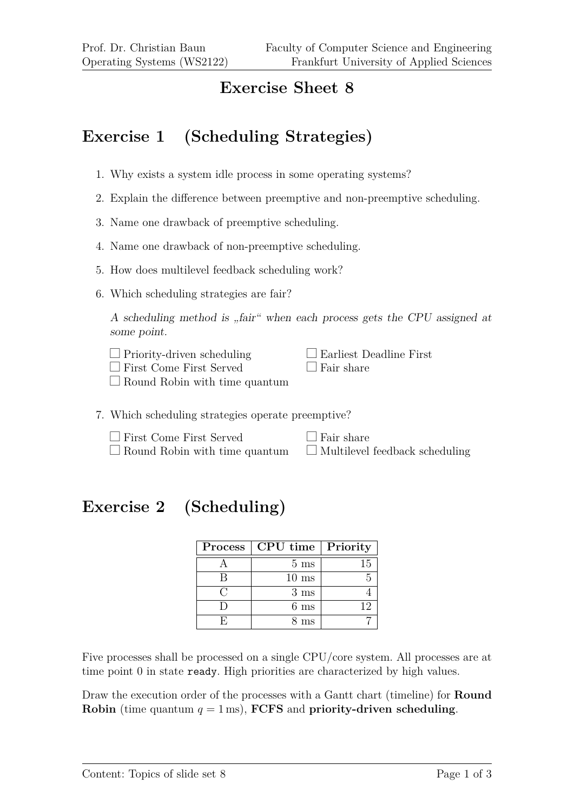## **Exercise Sheet 8**

## **Exercise 1 (Scheduling Strategies)**

- 1. Why exists a system idle process in some operating systems?
- 2. Explain the difference between preemptive and non-preemptive scheduling.
- 3. Name one drawback of preemptive scheduling.
- 4. Name one drawback of non-preemptive scheduling.
- 5. How does multilevel feedback scheduling work?
- 6. Which scheduling strategies are fair?

A scheduling method is "fair" when each process gets the CPU assigned at some point.

| $\Box$ Priority-driven scheduling    | $\Box$ Earliest Deadline First |
|--------------------------------------|--------------------------------|
| $\Box$ First Come First Served       | $\Box$ Fair share              |
| $\Box$ Round Robin with time quantum |                                |

7. Which scheduling strategies operate preemptive?

 $\Box$  First Come First Served  $\Box$  Round Robin with time quantum  $\Box$  Fair share  $\Box$  Multilevel feedback scheduling

## **Exercise 2 (Scheduling)**

|     | Process   CPU time   Priority |    |
|-----|-------------------------------|----|
|     | $5 \text{ ms}$                | 15 |
|     | $10 \text{ ms}$               |    |
| ( : | $3 \text{ ms}$                |    |
|     | $6~\mathrm{ms}$               | 19 |
|     | 3 ms                          |    |

Five processes shall be processed on a single CPU/core system. All processes are at time point 0 in state ready. High priorities are characterized by high values.

Draw the execution order of the processes with a Gantt chart (timeline) for **Round Robin** (time quantum  $q = 1$  ms), **FCFS** and **priority-driven scheduling**.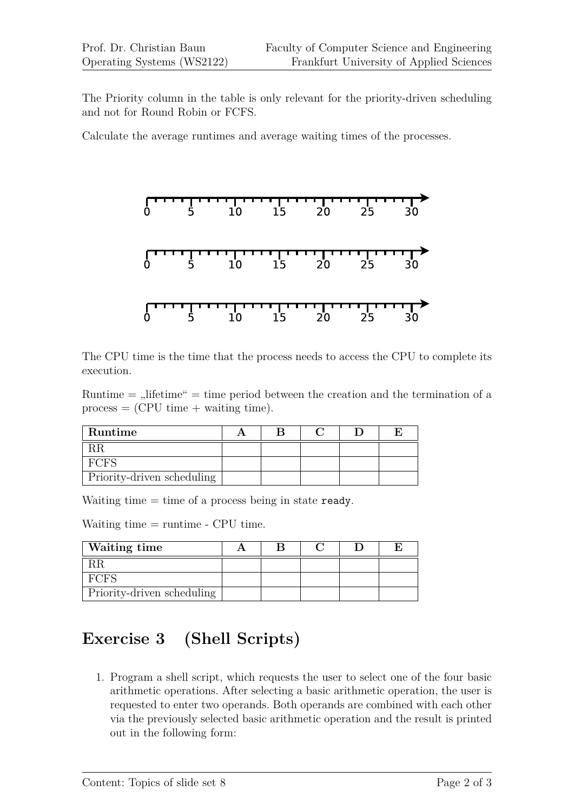The Priority column in the table is only relevant for the priority-driven scheduling and not for Round Robin or FCFS.

Calculate the average runtimes and average waiting times of the processes.



The CPU time is the time that the process needs to access the CPU to complete its execution.

Runtime  $=$  , lifetime"  $=$  time period between the creation and the termination of a  $process = (CPU time + waiting time).$ 

| Runtime                    |  |  |  |
|----------------------------|--|--|--|
|                            |  |  |  |
| H'( )H')                   |  |  |  |
| Priority-driven scheduling |  |  |  |

Waiting time  $=$  time of a process being in state ready.

Waiting time = runtime - CPU time.

| Waiting time               |  |  |  |
|----------------------------|--|--|--|
|                            |  |  |  |
| FCFS                       |  |  |  |
| Priority-driven scheduling |  |  |  |

## **Exercise 3 (Shell Scripts)**

1. Program a shell script, which requests the user to select one of the four basic arithmetic operations. After selecting a basic arithmetic operation, the user is requested to enter two operands. Both operands are combined with each other via the previously selected basic arithmetic operation and the result is printed out in the following form: